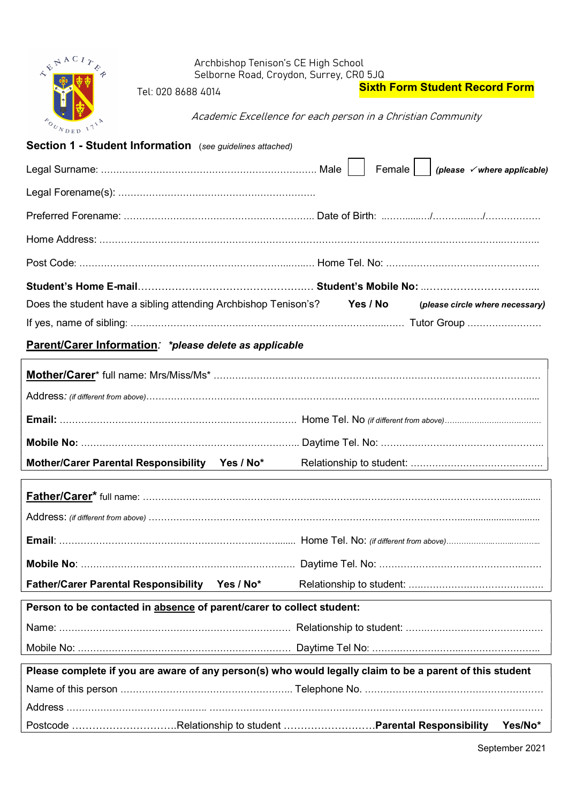| $\leftarrow$      | Archbishop Tenison's CE High School                                                                      |                                                              |                                       |
|-------------------|----------------------------------------------------------------------------------------------------------|--------------------------------------------------------------|---------------------------------------|
|                   | Tel: 020 8688 4014                                                                                       | Selborne Road, Croydon, Surrey, CR0 5JQ                      | <b>Sixth Form Student Record Form</b> |
|                   |                                                                                                          |                                                              |                                       |
| <b>POUNDED IT</b> |                                                                                                          | Academic Excellence for each person in a Christian Community |                                       |
|                   | Section 1 - Student Information (see guidelines attached)                                                |                                                              |                                       |
|                   |                                                                                                          | Female                                                       | (please √where applicable)            |
|                   |                                                                                                          |                                                              |                                       |
|                   |                                                                                                          |                                                              |                                       |
|                   |                                                                                                          |                                                              |                                       |
|                   |                                                                                                          |                                                              |                                       |
|                   |                                                                                                          |                                                              |                                       |
|                   | Does the student have a sibling attending Archbishop Tenison's? Yes / No                                 |                                                              | (please circle where necessary)       |
|                   |                                                                                                          |                                                              |                                       |
|                   | Parent/Carer Information: *please delete as applicable                                                   |                                                              |                                       |
|                   |                                                                                                          |                                                              |                                       |
|                   |                                                                                                          |                                                              |                                       |
|                   |                                                                                                          |                                                              |                                       |
|                   |                                                                                                          |                                                              |                                       |
|                   |                                                                                                          |                                                              |                                       |
|                   | Mother/Carer Parental Responsibility Yes / No*                                                           | Relationship to student:                                     |                                       |
|                   |                                                                                                          |                                                              |                                       |
|                   |                                                                                                          |                                                              |                                       |
|                   |                                                                                                          |                                                              |                                       |
|                   |                                                                                                          |                                                              |                                       |
|                   |                                                                                                          |                                                              |                                       |
|                   | Father/Carer Parental Responsibility Yes / No*                                                           |                                                              |                                       |
|                   | Person to be contacted in absence of parent/carer to collect student:                                    |                                                              |                                       |
|                   |                                                                                                          |                                                              |                                       |
|                   |                                                                                                          |                                                              |                                       |
|                   | Please complete if you are aware of any person(s) who would legally claim to be a parent of this student |                                                              |                                       |
|                   |                                                                                                          |                                                              |                                       |
|                   |                                                                                                          |                                                              |                                       |
|                   |                                                                                                          |                                                              | Yes/No*                               |